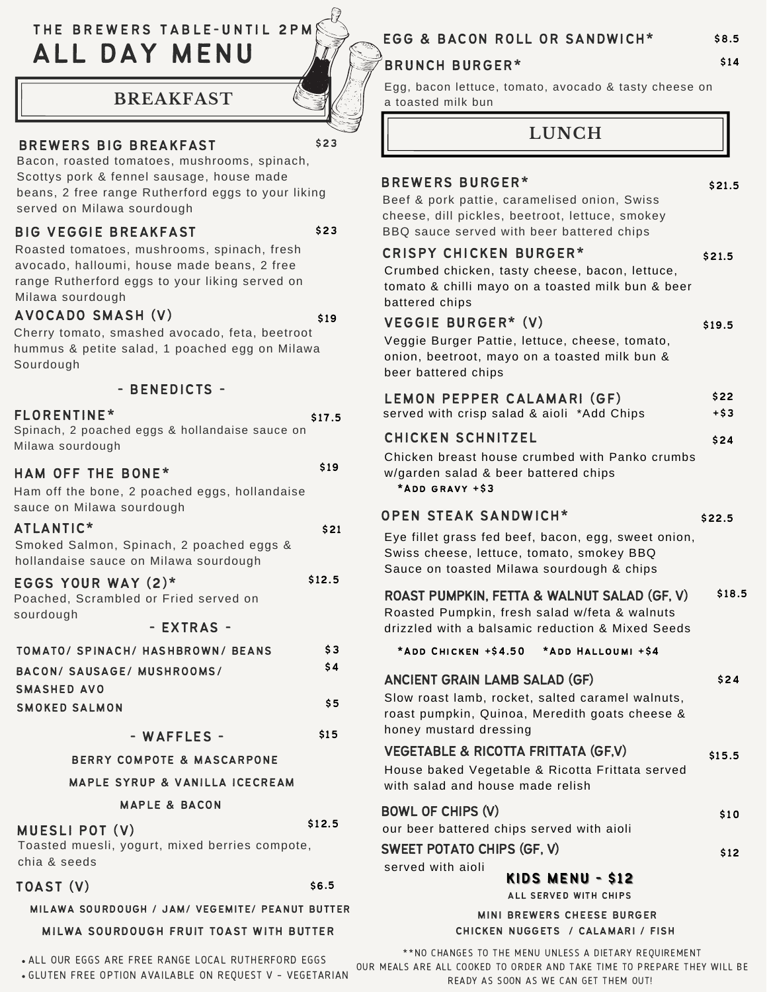# THE BREWERS TABLE-UNTIL 2PM ALL DAY MENU

## **BREAKFAST**

## BREWERS BIG BREAKFAST

Bacon, roasted tomatoes, mushrooms, spinach, Scottys pork & fennel sausage, house made beans, 2 free range Rutherford eggs to your liking served on Milawa sourdough

### BIG VEGGIE BREAKFAST

\$23

\$19

\$23

Roasted tomatoes, mushrooms, spinach, fresh avocado, halloumi, house made beans, 2 free range Rutherford eggs to your liking served on Milawa sourdough

### AVOCADO SMASH (V)

Cherry tomato, smashed avocado, feta, beetroot hummus & petite salad, 1 poached egg on Milawa Sourdough

| - BENEDICTS -                                                                           |        |
|-----------------------------------------------------------------------------------------|--------|
| FLORENTINE*<br>Spinach, 2 poached eggs & hollandaise sauce on<br>Milawa sourdough       | \$17.5 |
| <b>HAM OFF THE BONE*</b>                                                                | \$19   |
| Ham off the bone, 2 poached eggs, hollandaise<br>sauce on Milawa sourdough              |        |
| ATLANTIC*                                                                               | \$21   |
| Smoked Salmon, Spinach, 2 poached eggs &<br>hollandaise sauce on Milawa sourdough       |        |
| EGGS YOUR WAY (2)*                                                                      | \$12.5 |
| Poached, Scrambled or Fried served on<br>sourdough                                      |        |
| - EXTRAS -                                                                              |        |
| TOMATO/ SPINACH/ HASHBROWN/ BEANS                                                       | \$3    |
| BACON/ SAUSAGE/ MUSHROOMS/                                                              | \$4    |
| SMASHED AVO                                                                             |        |
| <b>SMOKED SALMON</b>                                                                    | \$5    |
| - WAFFLES -                                                                             | \$15   |
| <b>BERRY COMPOTE &amp; MASCARPONE</b>                                                   |        |
| <b>MAPLE SYRUP &amp; VANILLA ICECREAM</b>                                               |        |
| <b>MAPLE &amp; BACON</b>                                                                |        |
| <b>MUESLI POT (V)</b><br>Toasted muesli, yogurt, mixed berries compote,<br>chia & seeds | \$12.5 |
| TOAST (V)                                                                               | \$6.5  |

### MILAWA SOURDOUGH / JAM/ VEGEMITE/ PEANUT BUTTER

#### MILWA SOURDOUGH FRUIT TOAST WITH BUTTER

ALL OUR EGGS ARE FREE RANGE LOCAL RUTHERFORD EGGS

GLUTEN FREE OPTION AVAILABLE ON REQUEST <sup>V</sup> – VEGETARIAN

## EGG & BACON ROLL OR SANDWICH\*

## BRUNCH BURGER\* 514

Egg, bacon lettuce, tomato, avocado & tasty cheese on a toasted milk bun

## **LUNCH**

| ALL SERVED WITH CHIPS                                                                                                                                                                                                                                                                                  |                  |  |  |
|--------------------------------------------------------------------------------------------------------------------------------------------------------------------------------------------------------------------------------------------------------------------------------------------------------|------------------|--|--|
| served with aioli<br>KIDS MENU - \$12                                                                                                                                                                                                                                                                  |                  |  |  |
| <b>BOWL OF CHIPS (V)</b><br>our beer battered chips served with aioli<br><b>SWEET POTATO CHIPS (GF, V)</b>                                                                                                                                                                                             | \$10<br>\$12     |  |  |
| <b>ANCIENT GRAIN LAMB SALAD (GF)</b><br>Slow roast lamb, rocket, salted caramel walnuts,<br>roast pumpkin, Quinoa, Meredith goats cheese &<br>honey mustard dressing<br>VEGETABLE & RICOTTA FRITTATA (GF,V)<br>House baked Vegetable & Ricotta Frittata served<br>with salad and house made relish     | \$24<br>\$15.5   |  |  |
| ROAST PUMPKIN, FETTA & WALNUT SALAD (GF, V)<br>Roasted Pumpkin, fresh salad w/feta & walnuts<br>drizzled with a balsamic reduction & Mixed Seeds<br>*ADD CHICKEN +\$4.50<br>*ADD HALLOUMI +\$4                                                                                                         | \$18.5           |  |  |
| <b>OPEN STEAK SANDWICH*</b><br>Eye fillet grass fed beef, bacon, egg, sweet onion,<br>Swiss cheese, lettuce, tomato, smokey BBQ<br>Sauce on toasted Milawa sourdough & chips                                                                                                                           | \$22.5           |  |  |
| <b>CHICKEN SCHNITZEL</b><br>Chicken breast house crumbed with Panko crumbs<br>w/garden salad & beer battered chips<br>*ADD GRAVY +S3                                                                                                                                                                   | \$24             |  |  |
| LEMON PEPPER CALAMARI (GF)<br>served with crisp salad & aioli *Add Chips                                                                                                                                                                                                                               | \$22<br>$+ $3$   |  |  |
| <b>CRISPY CHICKEN BURGER*</b><br>Crumbed chicken, tasty cheese, bacon, lettuce,<br>tomato & chilli mayo on a toasted milk bun & beer<br>battered chips<br>VEGGIE BURGER* (V)<br>Veggie Burger Pattie, lettuce, cheese, tomato,<br>onion, beetroot, mayo on a toasted milk bun &<br>beer battered chips | \$21.5<br>\$19.5 |  |  |
| <b>BREWERS BURGER*</b><br>Beef & pork pattie, caramelised onion, Swiss<br>cheese, dill pickles, beetroot, lettuce, smokey<br>BBQ sauce served with beer battered chips                                                                                                                                 | \$21.5           |  |  |

MINI BREWERS CHEESE BURGER CHICKEN NUGGETS / CALAMARI / FISH

\*\*NO CHANGES TO THE MENU UNLESS A DIETARY REQUIREMENT OUR MEALS ARE ALL COOKED TO ORDER AND TAKE TIME TO PREPARE THEY WILL BE

READY AS SOON AS WE CAN GET THEM OUT!